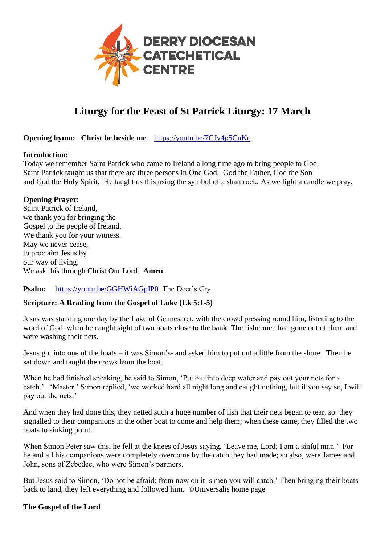

# **Liturgy for the Feast of St Patrick Liturgy: 17 March**

#### **Opening hymn: Christ be beside me** <https://youtu.be/7CJv4p5CuKc>

#### **Introduction:**

Today we remember Saint Patrick who came to Ireland a long time ago to bring people to God. Saint Patrick taught us that there are three persons in One God: God the Father, God the Son and God the Holy Spirit. He taught us this using the symbol of a shamrock. As we light a candle we pray,

#### **Opening Prayer:**

Saint Patrick of Ireland, we thank you for bringing the Gospel to the people of Ireland. We thank you for your witness. May we never cease, to proclaim Jesus by our way of living. We ask this through Christ Our Lord. **Amen**

**Psalm:** <https://youtu.be/GGHWiAGpIP0> The Deer's Cry

#### **Scripture: A Reading from the Gospel of Luke (Lk 5:1-5)**

Jesus was standing one day by the Lake of Gennesaret, with the crowd pressing round him, listening to the word of God, when he caught sight of two boats close to the bank. The fishermen had gone out of them and were washing their nets.

Jesus got into one of the boats – it was Simon's- and asked him to put out a little from the shore. Then he sat down and taught the crows from the boat.

When he had finished speaking, he said to Simon, 'Put out into deep water and pay out your nets for a catch.' 'Master,' Simon replied, 'we worked hard all night long and caught nothing, but if you say so, I will pay out the nets.'

And when they had done this, they netted such a huge number of fish that their nets began to tear, so they signalled to their companions in the other boat to come and help them; when these came, they filled the two boats to sinking point.

When Simon Peter saw this, he fell at the knees of Jesus saying, 'Leave me, Lord; I am a sinful man.' For he and all his companions were completely overcome by the catch they had made; so also, were James and John, sons of Zebedee, who were Simon's partners.

But Jesus said to Simon, 'Do not be afraid; from now on it is men you will catch.' Then bringing their boats back to land, they left everything and followed him. ©Universalis home page

#### **The Gospel of the Lord**